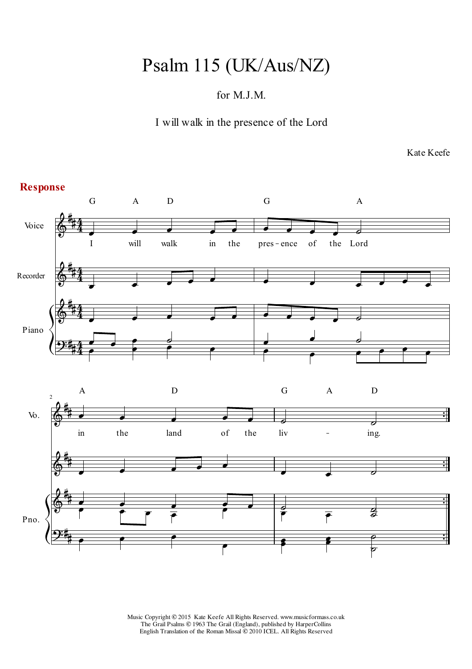## Psalm 115 (UK/Aus/NZ)

## for M.J.M.

I will walk in the presence of the Lord

Kate Keefe

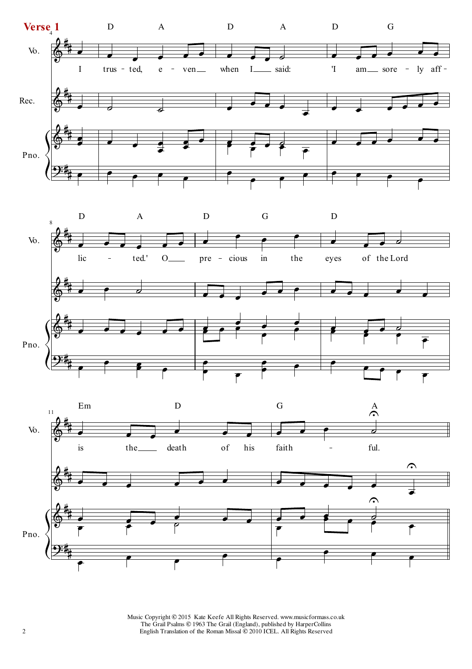



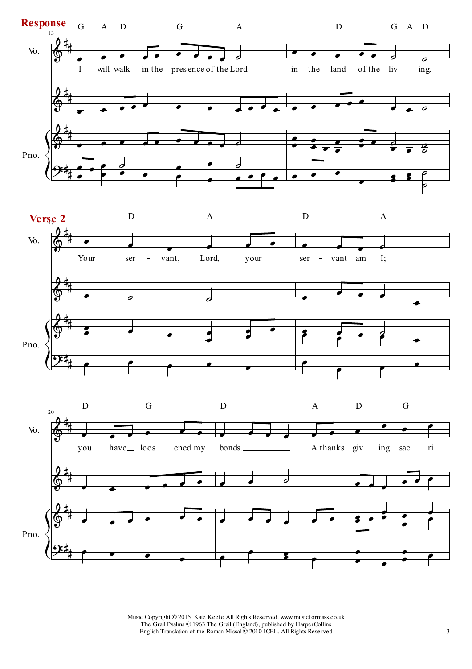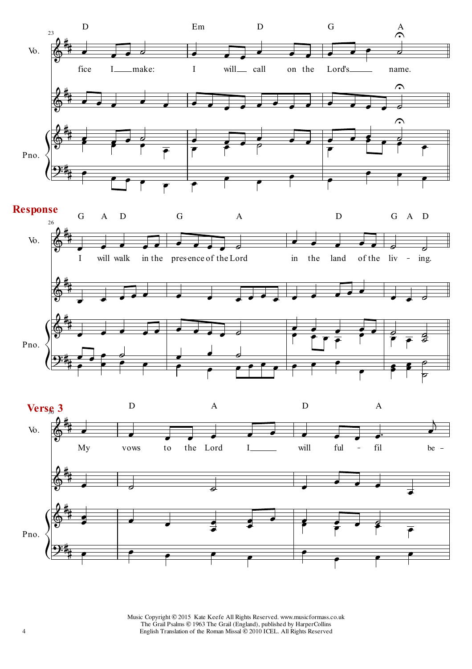